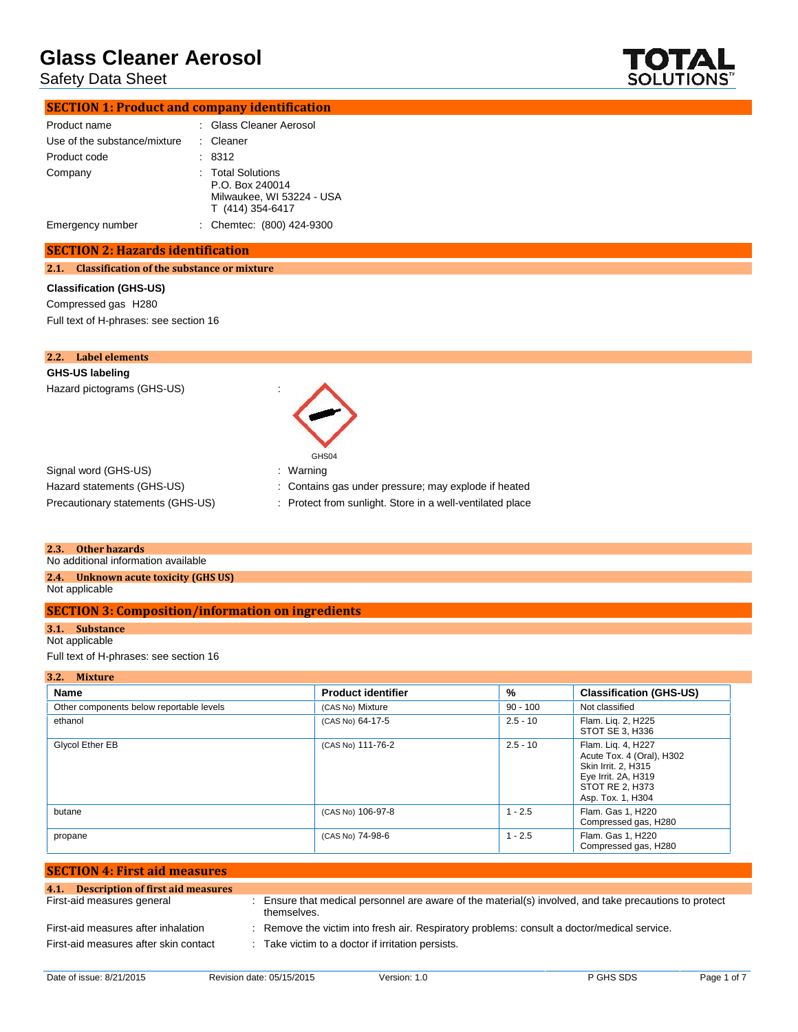## Safety Data Sheet



## **SECTION 1: Product and company identification**

| Product name                 | : Glass Cleaner Aerosol                                                               |
|------------------------------|---------------------------------------------------------------------------------------|
| Use of the substance/mixture | : Cleaner                                                                             |
| Product code                 | : 8312                                                                                |
| Company                      | : Total Solutions<br>P.O. Box 240014<br>Milwaukee, WI 53224 - USA<br>T (414) 354-6417 |
| Emergency number             | : Chemtec: (800) 424-9300                                                             |

#### **SECTION 2: Hazards identification**

#### **2.1. Classification of the substance or mixture**

#### **Classification (GHS-US)**

Compressed gas H280 Full text of H-phrases: see section 16

| 2.2. Label elements                                                                                                  |                                                           |
|----------------------------------------------------------------------------------------------------------------------|-----------------------------------------------------------|
| <b>GHS-US labeling</b>                                                                                               |                                                           |
| Hazard pictograms (GHS-US)<br>$\cdot$                                                                                | GHS04                                                     |
| Signal word (GHS-US)                                                                                                 | : Warning                                                 |
| Hazard statements (GHS-US)                                                                                           | : Contains gas under pressure; may explode if heated      |
| Precautionary statements (GHS-US)                                                                                    | : Protect from sunlight. Store in a well-ventilated place |
| 2.3.<br>Other hazards<br>A become all alterts are such that for any contributions of a constitution of the following |                                                           |

No additional information available

**2.4. Unknown acute toxicity (GHS US)**

Not applicable

### **SECTION 3: Composition/information on ingredients**

### **3.1. Substance**

Not applicable

Full text of H-phrases: see section 16

| 3.2. Mixture                             |                           |            |                                                                                                                                       |
|------------------------------------------|---------------------------|------------|---------------------------------------------------------------------------------------------------------------------------------------|
| Name                                     | <b>Product identifier</b> | %          | <b>Classification (GHS-US)</b>                                                                                                        |
| Other components below reportable levels | (CAS No) Mixture          | $90 - 100$ | Not classified                                                                                                                        |
| ethanol                                  | (CAS No) 64-17-5          | $2.5 - 10$ | Flam. Lig. 2, H225<br>STOT SE 3, H336                                                                                                 |
| Glycol Ether EB                          | (CAS No) 111-76-2         | $2.5 - 10$ | Flam. Lig. 4, H227<br>Acute Tox. 4 (Oral), H302<br>Skin Irrit. 2. H315<br>Eye Irrit. 2A, H319<br>STOT RE 2. H373<br>Asp. Tox. 1, H304 |
| butane                                   | (CAS No) 106-97-8         | $1 - 2.5$  | Flam, Gas 1, H220<br>Compressed gas, H280                                                                                             |
| propane                                  | (CAS No) 74-98-6          | $1 - 2.5$  | Flam, Gas 1, H220<br>Compressed gas, H280                                                                                             |

| <b>SECTION 4: First aid measures</b>                                         |                                                                                                                                                  |
|------------------------------------------------------------------------------|--------------------------------------------------------------------------------------------------------------------------------------------------|
| 4.1. Description of first aid measures                                       |                                                                                                                                                  |
| First-aid measures general                                                   | : Ensure that medical personnel are aware of the material(s) involved, and take precautions to protect<br>themselves.                            |
| First-aid measures after inhalation<br>First-aid measures after skin contact | : Remove the victim into fresh air. Respiratory problems: consult a doctor/medical service.<br>: Take victim to a doctor if irritation persists. |
|                                                                              |                                                                                                                                                  |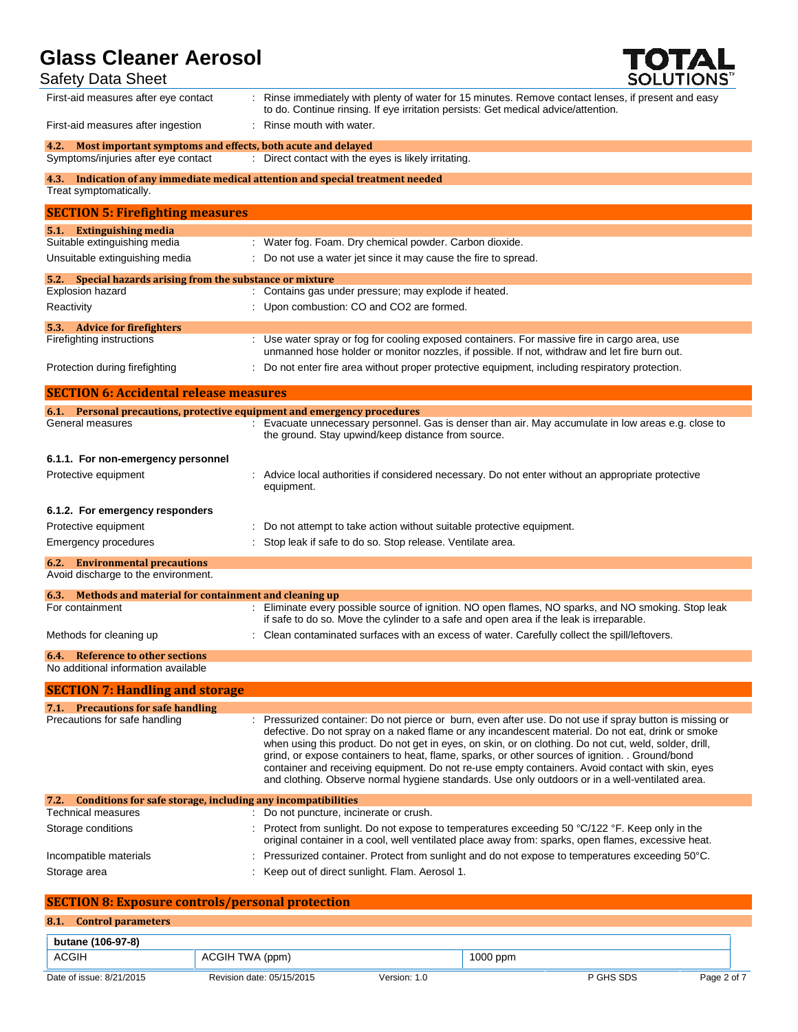## Safety Data Sheet



| $    -$                                                                                                 |                                                                                                                                                                                                                                                                                                                                                                                                                                                                                                                                                                                                                                   |
|---------------------------------------------------------------------------------------------------------|-----------------------------------------------------------------------------------------------------------------------------------------------------------------------------------------------------------------------------------------------------------------------------------------------------------------------------------------------------------------------------------------------------------------------------------------------------------------------------------------------------------------------------------------------------------------------------------------------------------------------------------|
| First-aid measures after eye contact                                                                    | : Rinse immediately with plenty of water for 15 minutes. Remove contact lenses, if present and easy<br>to do. Continue rinsing. If eye irritation persists: Get medical advice/attention.                                                                                                                                                                                                                                                                                                                                                                                                                                         |
| First-aid measures after ingestion                                                                      | : Rinse mouth with water.                                                                                                                                                                                                                                                                                                                                                                                                                                                                                                                                                                                                         |
| 4.2. Most important symptoms and effects, both acute and delayed<br>Symptoms/injuries after eye contact | : Direct contact with the eyes is likely irritating.                                                                                                                                                                                                                                                                                                                                                                                                                                                                                                                                                                              |
| Treat symptomatically.                                                                                  | 4.3. Indication of any immediate medical attention and special treatment needed                                                                                                                                                                                                                                                                                                                                                                                                                                                                                                                                                   |
| <b>SECTION 5: Firefighting measures</b>                                                                 |                                                                                                                                                                                                                                                                                                                                                                                                                                                                                                                                                                                                                                   |
| 5.1. Extinguishing media                                                                                |                                                                                                                                                                                                                                                                                                                                                                                                                                                                                                                                                                                                                                   |
| Suitable extinguishing media<br>Unsuitable extinguishing media                                          | : Water fog. Foam. Dry chemical powder. Carbon dioxide.<br>Do not use a water jet since it may cause the fire to spread.                                                                                                                                                                                                                                                                                                                                                                                                                                                                                                          |
| 5.2. Special hazards arising from the substance or mixture                                              |                                                                                                                                                                                                                                                                                                                                                                                                                                                                                                                                                                                                                                   |
| Explosion hazard                                                                                        | : Contains gas under pressure; may explode if heated.                                                                                                                                                                                                                                                                                                                                                                                                                                                                                                                                                                             |
| Reactivity                                                                                              | : Upon combustion: CO and CO2 are formed.                                                                                                                                                                                                                                                                                                                                                                                                                                                                                                                                                                                         |
| 5.3. Advice for fire fighters                                                                           |                                                                                                                                                                                                                                                                                                                                                                                                                                                                                                                                                                                                                                   |
| Firefighting instructions                                                                               | : Use water spray or fog for cooling exposed containers. For massive fire in cargo area, use<br>unmanned hose holder or monitor nozzles, if possible. If not, withdraw and let fire burn out.                                                                                                                                                                                                                                                                                                                                                                                                                                     |
| Protection during firefighting                                                                          | : Do not enter fire area without proper protective equipment, including respiratory protection.                                                                                                                                                                                                                                                                                                                                                                                                                                                                                                                                   |
| <b>SECTION 6: Accidental release measures</b>                                                           |                                                                                                                                                                                                                                                                                                                                                                                                                                                                                                                                                                                                                                   |
| 6.1. Personal precautions, protective equipment and emergency procedures                                |                                                                                                                                                                                                                                                                                                                                                                                                                                                                                                                                                                                                                                   |
| General measures                                                                                        | : Evacuate unnecessary personnel. Gas is denser than air. May accumulate in low areas e.g. close to<br>the ground. Stay upwind/keep distance from source.                                                                                                                                                                                                                                                                                                                                                                                                                                                                         |
| 6.1.1. For non-emergency personnel                                                                      |                                                                                                                                                                                                                                                                                                                                                                                                                                                                                                                                                                                                                                   |
| Protective equipment                                                                                    | Advice local authorities if considered necessary. Do not enter without an appropriate protective<br>equipment.                                                                                                                                                                                                                                                                                                                                                                                                                                                                                                                    |
| 6.1.2. For emergency responders                                                                         |                                                                                                                                                                                                                                                                                                                                                                                                                                                                                                                                                                                                                                   |
| Protective equipment                                                                                    | Do not attempt to take action without suitable protective equipment.                                                                                                                                                                                                                                                                                                                                                                                                                                                                                                                                                              |
| Emergency procedures                                                                                    | Stop leak if safe to do so. Stop release. Ventilate area.                                                                                                                                                                                                                                                                                                                                                                                                                                                                                                                                                                         |
| <b>6.2.</b> Environmental precautions<br>Avoid discharge to the environment.                            |                                                                                                                                                                                                                                                                                                                                                                                                                                                                                                                                                                                                                                   |
| 6.3. Methods and material for containment and cleaning up                                               |                                                                                                                                                                                                                                                                                                                                                                                                                                                                                                                                                                                                                                   |
| For containment                                                                                         | : Eliminate every possible source of ignition. NO open flames, NO sparks, and NO smoking. Stop leak<br>if safe to do so. Move the cylinder to a safe and open area if the leak is irreparable.                                                                                                                                                                                                                                                                                                                                                                                                                                    |
| Methods for cleaning up                                                                                 | : Clean contaminated surfaces with an excess of water. Carefully collect the spill/leftovers.                                                                                                                                                                                                                                                                                                                                                                                                                                                                                                                                     |
| <b>6.4.</b> Reference to other sections<br>No additional information available                          |                                                                                                                                                                                                                                                                                                                                                                                                                                                                                                                                                                                                                                   |
| <b>SECTION 7: Handling and storage</b>                                                                  |                                                                                                                                                                                                                                                                                                                                                                                                                                                                                                                                                                                                                                   |
| 7.1. Precautions for safe handling                                                                      |                                                                                                                                                                                                                                                                                                                                                                                                                                                                                                                                                                                                                                   |
| Precautions for safe handling                                                                           | : Pressurized container: Do not pierce or burn, even after use. Do not use if spray button is missing or<br>defective. Do not spray on a naked flame or any incandescent material. Do not eat, drink or smoke<br>when using this product. Do not get in eyes, on skin, or on clothing. Do not cut, weld, solder, drill,<br>grind, or expose containers to heat, flame, sparks, or other sources of ignition. . Ground/bond<br>container and receiving equipment. Do not re-use empty containers. Avoid contact with skin, eyes<br>and clothing. Observe normal hygiene standards. Use only outdoors or in a well-ventilated area. |
| Conditions for safe storage, including any incompatibilities<br>7.2.                                    |                                                                                                                                                                                                                                                                                                                                                                                                                                                                                                                                                                                                                                   |
| <b>Technical measures</b><br>Storage conditions                                                         | : Do not puncture, incinerate or crush.<br>: Protect from sunlight. Do not expose to temperatures exceeding 50 °C/122 °F. Keep only in the                                                                                                                                                                                                                                                                                                                                                                                                                                                                                        |
|                                                                                                         | original container in a cool, well ventilated place away from: sparks, open flames, excessive heat.                                                                                                                                                                                                                                                                                                                                                                                                                                                                                                                               |
| Incompatible materials                                                                                  | Pressurized container. Protect from sunlight and do not expose to temperatures exceeding 50°C.                                                                                                                                                                                                                                                                                                                                                                                                                                                                                                                                    |
| Storage area                                                                                            | Keep out of direct sunlight. Flam. Aerosol 1.                                                                                                                                                                                                                                                                                                                                                                                                                                                                                                                                                                                     |
| <b>SECTION 8: Exposure controls/personal protection</b>                                                 |                                                                                                                                                                                                                                                                                                                                                                                                                                                                                                                                                                                                                                   |

### **8.1. Control parameters**

| butane (106-97-8)        |                           |              |          |           |             |
|--------------------------|---------------------------|--------------|----------|-----------|-------------|
| <b>ACGIH</b>             | ACGIH TWA (ppm)           |              | 1000 ppm |           |             |
| Date of issue: 8/21/2015 | Revision date: 05/15/2015 | Version: 1.0 |          | P GHS SDS | Page 2 of 7 |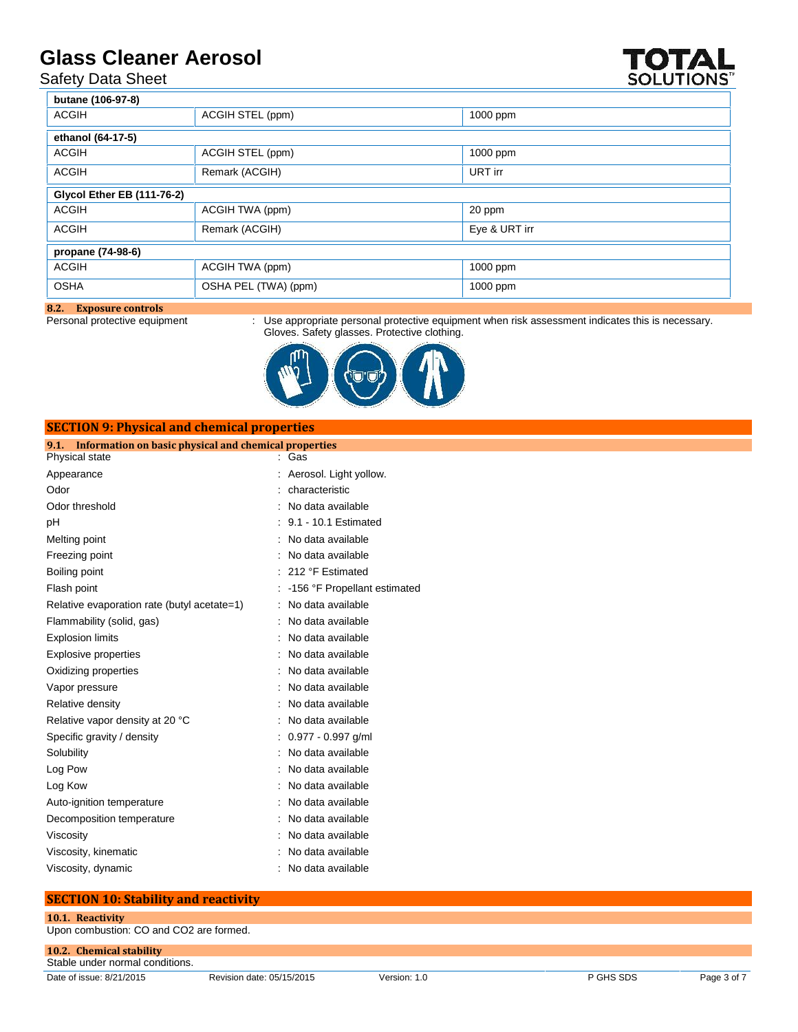Safety Data Sheet

| afety Data Sheet                  | nass Gleaner Aerosol |          | IVIAL<br>SOLUTIONS" |
|-----------------------------------|----------------------|----------|---------------------|
| butane (106-97-8)                 |                      |          |                     |
| <b>ACGIH</b>                      | ACGIH STEL (ppm)     | 1000 ppm |                     |
| ethanol (64-17-5)                 |                      |          |                     |
| <b>ACGIH</b>                      | ACGIH STEL (ppm)     | 1000 ppm |                     |
| ACGIH                             | Remark (ACGIH)       | URT irr  |                     |
| <b>Giveol Ether EB (111-76-2)</b> |                      |          |                     |
| ACGIH                             | ACGIH TWA (ppm)      | 20 ppm   |                     |

| ACGIH                              | Remark (ACGIH)       | Eye & URT irr |
|------------------------------------|----------------------|---------------|
| propane (74-98-6)                  |                      |               |
| ACGIH                              | ACGIH TWA (ppm)      | $1000$ ppm    |
| OSHA                               | OSHA PEL (TWA) (ppm) | 1000 ppm      |
| $\mathcal{P}$<br>Eynocuro controle |                      |               |

#### **8.2. Exposure controls**

**SECTION 9: Physical and chemical properties**

Personal protective equipment : Use appropriate personal protective equipment when risk assessment indicates this is necessary. Gloves. Safety glasses. Protective clothing.



| эцеттом эт пузкагана сисинсагргорстисэ                        |                              |
|---------------------------------------------------------------|------------------------------|
| Information on basic physical and chemical properties<br>9.1. |                              |
| Physical state                                                | : Gas                        |
| Appearance                                                    | Aerosol. Light yollow.       |
| Odor                                                          | characteristic               |
| Odor threshold                                                | : No data available          |
| рH                                                            | : 9.1 - 10.1 Estimated       |
| Melting point                                                 | : No data available          |
| Freezing point                                                | No data available            |
| Boiling point                                                 | : 212 °F Estimated           |
| Flash point                                                   | -156 °F Propellant estimated |
| Relative evaporation rate (butyl acetate=1)                   | No data available<br>t.      |
| Flammability (solid, gas)                                     | No data available            |
| <b>Explosion limits</b>                                       | No data available            |
| <b>Explosive properties</b>                                   | No data available            |
| Oxidizing properties                                          | No data available            |
| Vapor pressure                                                | No data available            |
| Relative density                                              | No data available            |
| Relative vapor density at 20 °C                               | No data available            |
| Specific gravity / density                                    | $0.977 - 0.997$ g/ml         |
| Solubility                                                    | No data available            |
| Log Pow                                                       | No data available            |
| Log Kow                                                       | No data available            |
| Auto-ignition temperature                                     | No data available            |
| Decomposition temperature                                     | No data available            |
| Viscosity                                                     | No data available            |
| Viscosity, kinematic                                          | No data available            |
| Viscosity, dynamic                                            | : No data available          |

### **SECTION 10: Stability and reactivity**

### **10.1. Reactivity**

Upon combustion: CO and CO2 are formed.

**10.2. Chemical stability** Stable under normal conditions.

Date of issue: 8/21/2015 Revision date: 05/15/2015 Version: 1.0 P GHS SDS Page 3 of 7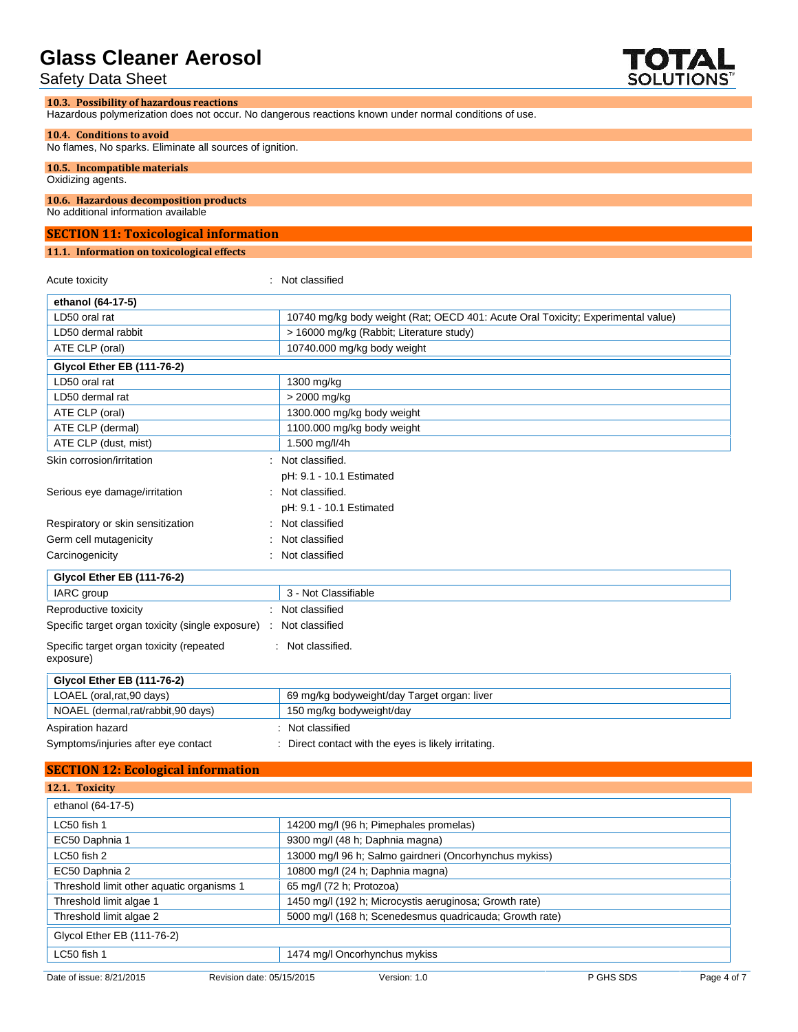### Safety Data Sheet

### **10.3. Possibility of hazardous reactions**

Hazardous polymerization does not occur. No dangerous reactions known under normal conditions of use.

#### **10.4. Conditions to avoid**

No flames, No sparks. Eliminate all sources of ignition.

### **10.5. Incompatible materials**

Oxidizing agents.

### **10.6. Hazardous decomposition products**

No additional information available

#### **SECTION 11: Toxicological information**

#### **11.1. Information on toxicological effects**

Acute toxicity in the contract of the classified in the classified in the classified in the classified in the  $\sim$ **ethanol (64-17-5)** LD50 oral rat 10740 mg/kg body weight (Rat; OECD 401: Acute Oral Toxicity; Experimental value) LD50 dermal rabbit  $\vert$  > 16000 mg/kg (Rabbit; Literature study) ATE CLP (oral) and the contract of the 10740.000 mg/kg body weight **Glycol Ether EB (111-76-2)** LD50 oral rat 1300 mg/kg LD50 dermal rat  $\vert$  > 2000 mg/kg ATE CLP (oral) **1300.000 mg/kg body weight** ATE CLP (dermal) and the club of 1100.000 mg/kg body weight ATE CLP (dust, mist) 1.500 mg/l/4h Skin corrosion/irritation : Not classified. pH: 9.1 - 10.1 Estimated Serious eye damage/irritation : Not classified. pH: 9.1 - 10.1 Estimated Respiratory or skin sensitization : Not classified Germ cell mutagenicity **in the case of the Contract Contract Contract Contract Contract Contract Contract Contract Contract Contract Contract Contract Contract Contract Contract Contract Contract Contract Contract Contract** Carcinogenicity **Carcinogenicity 1999 Carcinogenicity Carcinogenicity Carcinogenicity Glycol Ether EB (111-76-2)** IARC group 3 - Not Classifiable Reproductive toxicity **in the contract of the CRS** contract in the Reproductive toxicity Specific target organ toxicity (single exposure) : Not classified Specific target organ toxicity (repeated exposure) : Not classified. **Glycol Ether EB (111-76-2)** LOAEL (oral,rat,90 days) 69 mg/kg bodyweight/day Target organ: liver NOAEL (dermal,rat/rabbit,90 days) 150 mg/kg bodyweight/day Aspiration hazard **in the set of the set of the set of the set of the set of the set of the set of the set of the set of the set of the set of the set of the set of the set of the set of the set of the set of the set of th** Symptoms/injuries after eye contact : Direct contact with the eyes is likely irritating.

#### **SECTION 12: Ecological information**

| 12.1. Toxicity                            |                                                         |  |
|-------------------------------------------|---------------------------------------------------------|--|
| ethanol (64-17-5)                         |                                                         |  |
| LC50 fish 1                               | 14200 mg/l (96 h; Pimephales promelas)                  |  |
| EC50 Daphnia 1                            | 9300 mg/l (48 h; Daphnia magna)                         |  |
| $LC50$ fish $2$                           | 13000 mg/l 96 h; Salmo gairdneri (Oncorhynchus mykiss)  |  |
| EC50 Daphnia 2                            | 10800 mg/l (24 h; Daphnia magna)                        |  |
| Threshold limit other aquatic organisms 1 | 65 mg/l (72 h; Protozoa)                                |  |
| Threshold limit algae 1                   | 1450 mg/l (192 h; Microcystis aeruginosa; Growth rate)  |  |
| Threshold limit algae 2                   | 5000 mg/l (168 h; Scenedesmus quadricauda; Growth rate) |  |
| Glycol Ether EB (111-76-2)                |                                                         |  |
| LC50 fish 1                               | 1474 mg/l Oncorhynchus mykiss                           |  |

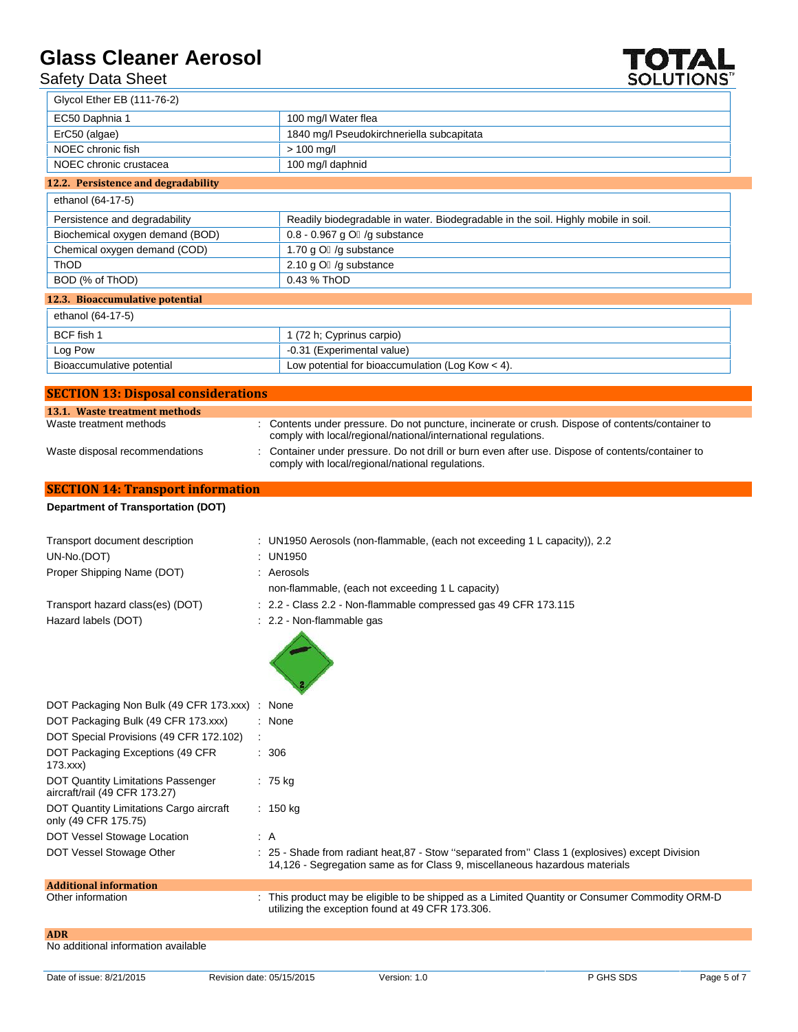## Safety Data Sheet



| יוט סווכ אוסומט Cuc                                                        | JULU I IVINJ                                                                                                                                                                   |
|----------------------------------------------------------------------------|--------------------------------------------------------------------------------------------------------------------------------------------------------------------------------|
| Glycol Ether EB (111-76-2)                                                 |                                                                                                                                                                                |
| EC50 Daphnia 1                                                             | 100 mg/l Water flea                                                                                                                                                            |
| ErC50 (algae)                                                              | 1840 mg/l Pseudokirchneriella subcapitata                                                                                                                                      |
| NOEC chronic fish                                                          | $> 100$ mg/l                                                                                                                                                                   |
| NOEC chronic crustacea                                                     | 100 mg/l daphnid                                                                                                                                                               |
| 12.2. Persistence and degradability                                        |                                                                                                                                                                                |
| ethanol (64-17-5)                                                          |                                                                                                                                                                                |
| Persistence and degradability                                              | Readily biodegradable in water. Biodegradable in the soil. Highly mobile in soil.                                                                                              |
| Biochemical oxygen demand (BOD)                                            | 0.8 - 0.967 g O /g substance                                                                                                                                                   |
| Chemical oxygen demand (COD)                                               | 1.70 g O /g substance                                                                                                                                                          |
| ThOD                                                                       | 2.10 g O /g substance                                                                                                                                                          |
| BOD (% of ThOD)                                                            | 0.43 % ThOD                                                                                                                                                                    |
| 12.3. Bioaccumulative potential                                            |                                                                                                                                                                                |
| ethanol (64-17-5)                                                          |                                                                                                                                                                                |
| BCF fish 1                                                                 | 1 (72 h; Cyprinus carpio)                                                                                                                                                      |
| Log Pow                                                                    | -0.31 (Experimental value)                                                                                                                                                     |
| Bioaccumulative potential                                                  | Low potential for bioaccumulation (Log Kow $<$ 4).                                                                                                                             |
|                                                                            |                                                                                                                                                                                |
| <b>SECTION 13: Disposal considerations</b>                                 |                                                                                                                                                                                |
| 13.1. Waste treatment methods<br>Waste treatment methods                   | : Contents under pressure. Do not puncture, incinerate or crush. Dispose of contents/container to                                                                              |
|                                                                            | comply with local/regional/national/international regulations.                                                                                                                 |
| Waste disposal recommendations                                             | Container under pressure. Do not drill or burn even after use. Dispose of contents/container to<br>comply with local/regional/national regulations.                            |
| <b>SECTION 14: Transport information</b>                                   |                                                                                                                                                                                |
| <b>Department of Transportation (DOT)</b>                                  |                                                                                                                                                                                |
|                                                                            |                                                                                                                                                                                |
| Transport document description                                             | : UN1950 Aerosols (non-flammable, (each not exceeding 1 L capacity)), 2.2                                                                                                      |
| UN-No.(DOT)                                                                | : UN1950                                                                                                                                                                       |
| Proper Shipping Name (DOT)                                                 | : Aerosols                                                                                                                                                                     |
|                                                                            | non-flammable, (each not exceeding 1 L capacity)                                                                                                                               |
| Transport hazard class(es) (DOT)                                           | : 2.2 - Class 2.2 - Non-flammable compressed gas 49 CFR 173.115                                                                                                                |
| Hazard labels (DOT)                                                        | : 2.2 - Non-flammable gas                                                                                                                                                      |
|                                                                            |                                                                                                                                                                                |
| DOT Packaging Non Bulk (49 CFR 173.xxx)                                    | : None                                                                                                                                                                         |
| DOT Packaging Bulk (49 CFR 173.xxx)                                        | : None                                                                                                                                                                         |
| DOT Special Provisions (49 CFR 172.102)                                    |                                                                                                                                                                                |
| DOT Packaging Exceptions (49 CFR<br>173.xxx                                | : 306                                                                                                                                                                          |
| <b>DOT Quantity Limitations Passenger</b><br>aircraft/rail (49 CFR 173.27) | : 75 kg                                                                                                                                                                        |
| DOT Quantity Limitations Cargo aircraft<br>only (49 CFR 175.75)            | : $150 \text{ kg}$                                                                                                                                                             |
| DOT Vessel Stowage Location                                                | : A                                                                                                                                                                            |
| DOT Vessel Stowage Other                                                   | : 25 - Shade from radiant heat, 87 - Stow "separated from" Class 1 (explosives) except Division<br>14,126 - Segregation same as for Class 9, miscellaneous hazardous materials |
|                                                                            |                                                                                                                                                                                |

## **Additional information**

Other information : This product may be eligible to be shipped as a Limited Quantity or Consumer Commodity ORM-D utilizing the exception found at 49 CFR 173.306.

**ADR**

No additional information available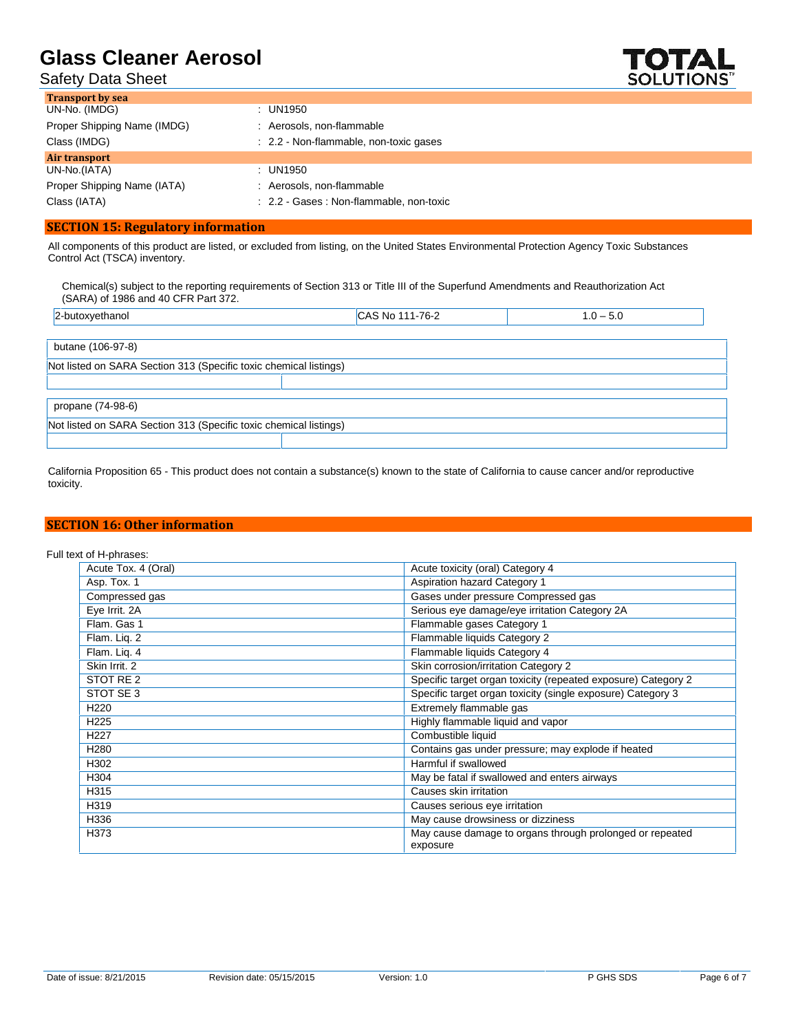Safety Data Sheet



| <b>Transport by sea</b>     |                                          |
|-----------------------------|------------------------------------------|
| UN-No. (IMDG)               | : UN1950                                 |
| Proper Shipping Name (IMDG) | Aerosols, non-flammable                  |
| Class (IMDG)                | : 2.2 - Non-flammable, non-toxic gases   |
| Air transport               |                                          |
| UN-No.(IATA)                | : UN1950                                 |
| Proper Shipping Name (IATA) | Aerosols, non-flammable                  |
| Class (IATA)                | : 2.2 - Gases : Non-flammable, non-toxic |

### **SECTION 15: Regulatory information**

All components of this product are listed, or excluded from listing, on the United States Environmental Protection Agency Toxic Substances Control Act (TSCA) inventory.

Chemical(s) subject to the reporting requirements of Section 313 or Title III of the Superfund Amendments and Reauthorization Act (SARA) of 1986 and 40 CFR Part 372.

| 2-butoxyethanol                                                   | CAS No 111-76-2 | $1.0 - 5.0$ |
|-------------------------------------------------------------------|-----------------|-------------|
|                                                                   |                 |             |
| butane (106-97-8)                                                 |                 |             |
| Not listed on SARA Section 313 (Specific toxic chemical listings) |                 |             |
|                                                                   |                 |             |
| propane (74-98-6)                                                 |                 |             |
| Not listed on SARA Section 313 (Specific toxic chemical listings) |                 |             |
|                                                                   |                 |             |

California Proposition 65 - This product does not contain a substance(s) known to the state of California to cause cancer and/or reproductive toxicity.

#### **SECTION 16: Other information**

Full text of H-phrases:

| Acute Tox. 4 (Oral) | Acute toxicity (oral) Category 4                                     |
|---------------------|----------------------------------------------------------------------|
| Asp. Tox. 1         | Aspiration hazard Category 1                                         |
| Compressed gas      | Gases under pressure Compressed gas                                  |
| Eye Irrit. 2A       | Serious eye damage/eye irritation Category 2A                        |
| Flam. Gas 1         | Flammable gases Category 1                                           |
| Flam. Lig. 2        | Flammable liquids Category 2                                         |
| Flam. Lig. 4        | Flammable liquids Category 4                                         |
| Skin Irrit. 2       | Skin corrosion/irritation Category 2                                 |
| STOT RE 2           | Specific target organ toxicity (repeated exposure) Category 2        |
| STOT SE 3           | Specific target organ toxicity (single exposure) Category 3          |
| H <sub>220</sub>    | Extremely flammable gas                                              |
| H <sub>225</sub>    | Highly flammable liquid and vapor                                    |
| H <sub>227</sub>    | Combustible liquid                                                   |
| H <sub>280</sub>    | Contains gas under pressure; may explode if heated                   |
| H302                | Harmful if swallowed                                                 |
| H304                | May be fatal if swallowed and enters airways                         |
| H315                | Causes skin irritation                                               |
| H319                | Causes serious eye irritation                                        |
| H336                | May cause drowsiness or dizziness                                    |
| H373                | May cause damage to organs through prolonged or repeated<br>exposure |